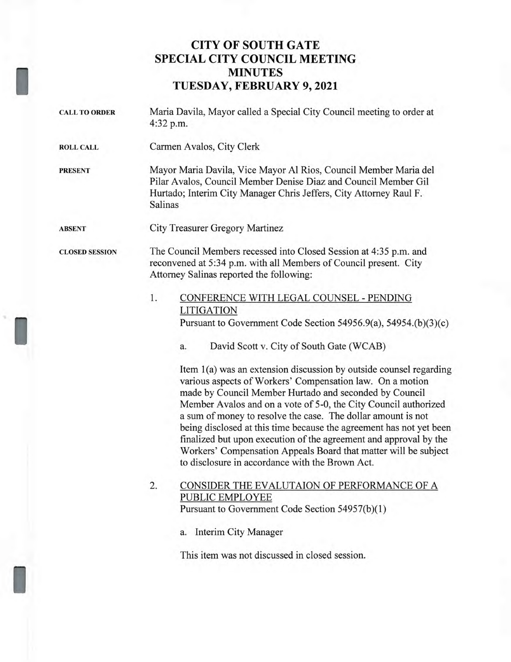## **CITY OF SOUTH GATE SPECIAL CITY COUNCIL MEETING MINUTES TUESDAY, FEBRUARY 9, 2021**

I

I

I

| <b>CALL TO ORDER</b>  | Maria Davila, Mayor called a Special City Council meeting to order at<br>4:32 p.m.                                                                                                                                                                                                                                                                                                                                                                                                                                                                                                                                                                                                                                                                                                        |
|-----------------------|-------------------------------------------------------------------------------------------------------------------------------------------------------------------------------------------------------------------------------------------------------------------------------------------------------------------------------------------------------------------------------------------------------------------------------------------------------------------------------------------------------------------------------------------------------------------------------------------------------------------------------------------------------------------------------------------------------------------------------------------------------------------------------------------|
| <b>ROLL CALL</b>      | Carmen Avalos, City Clerk                                                                                                                                                                                                                                                                                                                                                                                                                                                                                                                                                                                                                                                                                                                                                                 |
| <b>PRESENT</b>        | Mayor Maria Davila, Vice Mayor Al Rios, Council Member Maria del<br>Pilar Avalos, Council Member Denise Diaz and Council Member Gil<br>Hurtado; Interim City Manager Chris Jeffers, City Attorney Raul F.<br>Salinas                                                                                                                                                                                                                                                                                                                                                                                                                                                                                                                                                                      |
| <b>ABSENT</b>         | City Treasurer Gregory Martinez                                                                                                                                                                                                                                                                                                                                                                                                                                                                                                                                                                                                                                                                                                                                                           |
| <b>CLOSED SESSION</b> | The Council Members recessed into Closed Session at 4:35 p.m. and<br>reconvened at 5:34 p.m. with all Members of Council present. City<br>Attorney Salinas reported the following:                                                                                                                                                                                                                                                                                                                                                                                                                                                                                                                                                                                                        |
|                       | 1.<br>CONFERENCE WITH LEGAL COUNSEL - PENDING<br><b>LITIGATION</b><br>Pursuant to Government Code Section 54956.9(a), 54954.(b)(3)(c)<br>David Scott v. City of South Gate (WCAB)<br>a.<br>Item 1(a) was an extension discussion by outside counsel regarding<br>various aspects of Workers' Compensation law. On a motion<br>made by Council Member Hurtado and seconded by Council<br>Member Avalos and on a vote of 5-0, the City Council authorized<br>a sum of money to resolve the case. The dollar amount is not<br>being disclosed at this time because the agreement has not yet been<br>finalized but upon execution of the agreement and approval by the<br>Workers' Compensation Appeals Board that matter will be subject<br>to disclosure in accordance with the Brown Act. |
|                       | CONSIDER THE EVALUTAION OF PERFORMANCE OF A<br>2.<br>PUBLIC EMPLOYEE<br>Pursuant to Government Code Section 54957(b)(1)<br>Interim City Manager<br>a.<br>This item was not discussed in closed session.                                                                                                                                                                                                                                                                                                                                                                                                                                                                                                                                                                                   |
|                       |                                                                                                                                                                                                                                                                                                                                                                                                                                                                                                                                                                                                                                                                                                                                                                                           |